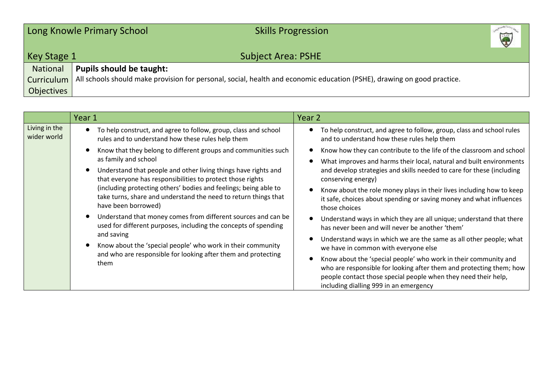|             | Long Knowle Primary School<br><b>Skills Progression</b>                                                                 | M<br>V |
|-------------|-------------------------------------------------------------------------------------------------------------------------|--------|
| Key Stage 1 | <b>Subject Area: PSHE</b>                                                                                               |        |
| National    | <b>Pupils should be taught:</b>                                                                                         |        |
| Curriculum  | All schools should make provision for personal, social, health and economic education (PSHE), drawing on good practice. |        |
| Objectives  |                                                                                                                         |        |

|                              | Year 1                                                                                                                                                                                                                                                                                                                                                                                                                                                                                                                                                                                                                                                                                                                                                                                                                                        | Year 2                                                                                                                                                                                                                                                                                                                                                                                                                                                                                                                                                                                                                                                                                                                                                                                                                                                                  |
|------------------------------|-----------------------------------------------------------------------------------------------------------------------------------------------------------------------------------------------------------------------------------------------------------------------------------------------------------------------------------------------------------------------------------------------------------------------------------------------------------------------------------------------------------------------------------------------------------------------------------------------------------------------------------------------------------------------------------------------------------------------------------------------------------------------------------------------------------------------------------------------|-------------------------------------------------------------------------------------------------------------------------------------------------------------------------------------------------------------------------------------------------------------------------------------------------------------------------------------------------------------------------------------------------------------------------------------------------------------------------------------------------------------------------------------------------------------------------------------------------------------------------------------------------------------------------------------------------------------------------------------------------------------------------------------------------------------------------------------------------------------------------|
| Living in the<br>wider world | To help construct, and agree to follow, group, class and school<br>$\bullet$<br>rules and to understand how these rules help them<br>Know that they belong to different groups and communities such<br>as family and school<br>Understand that people and other living things have rights and<br>$\bullet$<br>that everyone has responsibilities to protect those rights<br>(including protecting others' bodies and feelings; being able to<br>take turns, share and understand the need to return things that<br>have been borrowed)<br>$\bullet$<br>Understand that money comes from different sources and can be<br>used for different purposes, including the concepts of spending<br>and saving<br>Know about the 'special people' who work in their community<br>and who are responsible for looking after them and protecting<br>them | To help construct, and agree to follow, group, class and school rules<br>and to understand how these rules help them<br>Know how they can contribute to the life of the classroom and school<br>What improves and harms their local, natural and built environments<br>and develop strategies and skills needed to care for these (including<br>conserving energy)<br>Know about the role money plays in their lives including how to keep<br>$\bullet$<br>it safe, choices about spending or saving money and what influences<br>those choices<br>Understand ways in which they are all unique; understand that there<br>$\bullet$<br>has never been and will never be another 'them'<br>Understand ways in which we are the same as all other people; what<br>we have in common with everyone else<br>Know about the 'special people' who work in their community and |
|                              |                                                                                                                                                                                                                                                                                                                                                                                                                                                                                                                                                                                                                                                                                                                                                                                                                                               | who are responsible for looking after them and protecting them; how<br>people contact those special people when they need their help,<br>including dialling 999 in an emergency                                                                                                                                                                                                                                                                                                                                                                                                                                                                                                                                                                                                                                                                                         |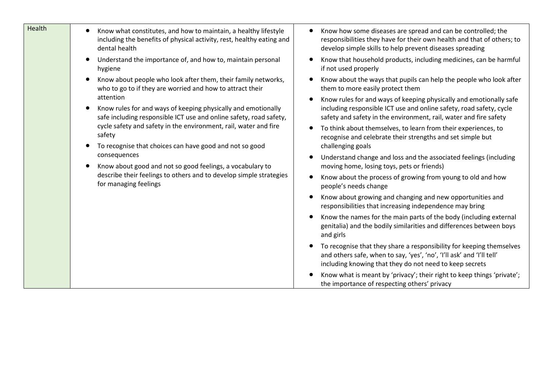| Health | Know what constitutes, and how to maintain, a healthy lifestyle<br>$\bullet$<br>including the benefits of physical activity, rest, healthy eating and<br>dental health                                                                                                                                                                                                                                                                                                                                                                                                                                                                                                        | Know how some diseases are spread and can be controlled; the<br>responsibilities they have for their own health and that of others; to<br>develop simple skills to help prevent diseases spreading                          |
|--------|-------------------------------------------------------------------------------------------------------------------------------------------------------------------------------------------------------------------------------------------------------------------------------------------------------------------------------------------------------------------------------------------------------------------------------------------------------------------------------------------------------------------------------------------------------------------------------------------------------------------------------------------------------------------------------|-----------------------------------------------------------------------------------------------------------------------------------------------------------------------------------------------------------------------------|
|        | Understand the importance of, and how to, maintain personal<br>hygiene<br>Know about people who look after them, their family networks,<br>who to go to if they are worried and how to attract their<br>attention<br>Know rules for and ways of keeping physically and emotionally<br>safe including responsible ICT use and online safety, road safety,<br>cycle safety and safety in the environment, rail, water and fire<br>safety<br>To recognise that choices can have good and not so good<br>consequences<br>Know about good and not so good feelings, a vocabulary to<br>describe their feelings to others and to develop simple strategies<br>for managing feelings | Know that household products, including medicines, can be harmful<br>if not used properly                                                                                                                                   |
|        |                                                                                                                                                                                                                                                                                                                                                                                                                                                                                                                                                                                                                                                                               | Know about the ways that pupils can help the people who look after<br>them to more easily protect them                                                                                                                      |
|        |                                                                                                                                                                                                                                                                                                                                                                                                                                                                                                                                                                                                                                                                               | Know rules for and ways of keeping physically and emotionally safe<br>$\bullet$<br>including responsible ICT use and online safety, road safety, cycle<br>safety and safety in the environment, rail, water and fire safety |
|        |                                                                                                                                                                                                                                                                                                                                                                                                                                                                                                                                                                                                                                                                               | To think about themselves, to learn from their experiences, to<br>$\bullet$<br>recognise and celebrate their strengths and set simple but<br>challenging goals                                                              |
|        |                                                                                                                                                                                                                                                                                                                                                                                                                                                                                                                                                                                                                                                                               | Understand change and loss and the associated feelings (including<br>moving home, losing toys, pets or friends)                                                                                                             |
|        |                                                                                                                                                                                                                                                                                                                                                                                                                                                                                                                                                                                                                                                                               | Know about the process of growing from young to old and how<br>$\bullet$<br>people's needs change                                                                                                                           |
|        |                                                                                                                                                                                                                                                                                                                                                                                                                                                                                                                                                                                                                                                                               | Know about growing and changing and new opportunities and<br>responsibilities that increasing independence may bring                                                                                                        |
|        |                                                                                                                                                                                                                                                                                                                                                                                                                                                                                                                                                                                                                                                                               | Know the names for the main parts of the body (including external<br>genitalia) and the bodily similarities and differences between boys<br>and girls                                                                       |
|        |                                                                                                                                                                                                                                                                                                                                                                                                                                                                                                                                                                                                                                                                               | To recognise that they share a responsibility for keeping themselves<br>and others safe, when to say, 'yes', 'no', 'I'll ask' and 'I'll tell'<br>including knowing that they do not need to keep secrets                    |
|        |                                                                                                                                                                                                                                                                                                                                                                                                                                                                                                                                                                                                                                                                               | Know what is meant by 'privacy'; their right to keep things 'private';<br>the importance of respecting others' privacy                                                                                                      |